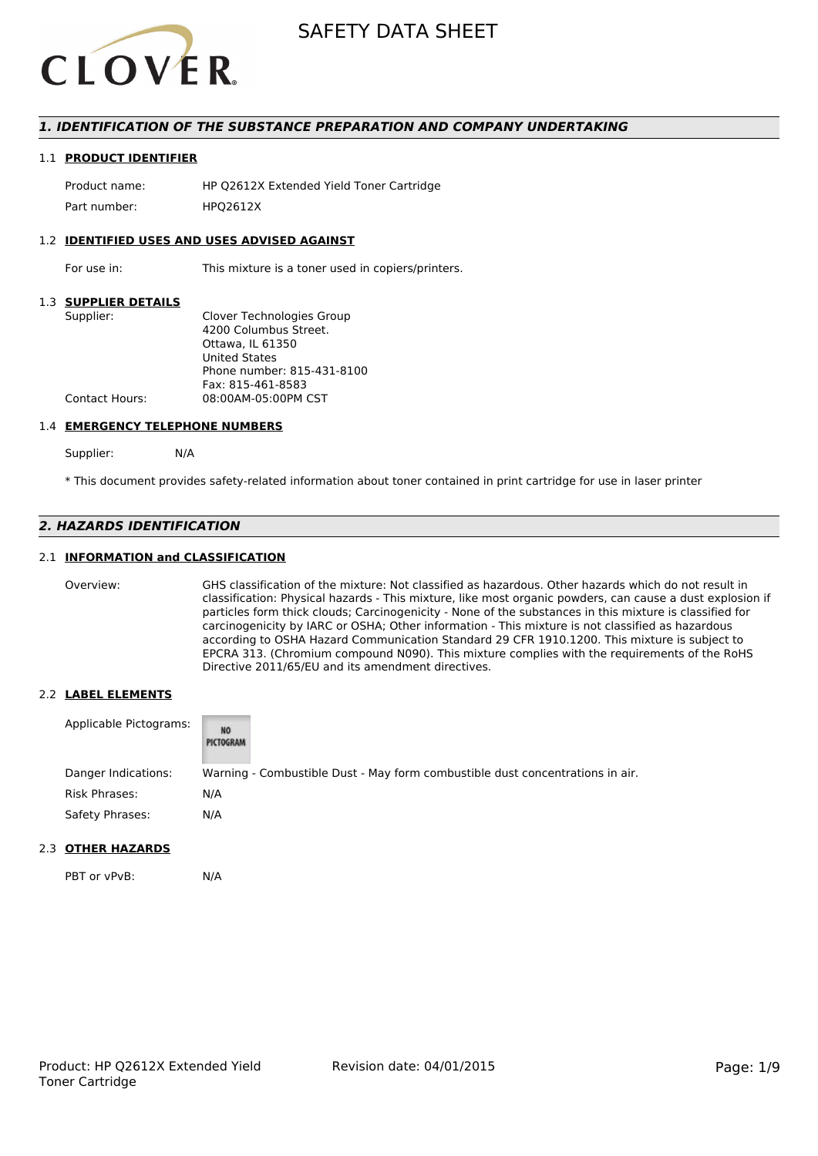

### *1. IDENTIFICATION OF THE SUBSTANCE PREPARATION AND COMPANY UNDERTAKING*

#### 1.1 **PRODUCT IDENTIFIER**

Product name: HP Q2612X Extended Yield Toner Cartridge Part number: HPQ2612X

#### 1.2 **IDENTIFIED USES AND USES ADVISED AGAINST**

For use in: This mixture is a toner used in copiers/printers.

#### 1.3 **SUPPLIER DETAILS**

| Supplier:             | Clover Technologies Group  |
|-----------------------|----------------------------|
|                       | 4200 Columbus Street.      |
|                       | Ottawa. IL 61350           |
|                       | <b>United States</b>       |
|                       | Phone number: 815-431-8100 |
|                       | Fax: 815-461-8583          |
| <b>Contact Hours:</b> | 08:00AM-05:00PM CST        |
|                       |                            |

#### 1.4 **EMERGENCY TELEPHONE NUMBERS**

Supplier: N/A

\* This document provides safety-related information about toner contained in print cartridge for use in laser printer

# *2. HAZARDS IDENTIFICATION*

### 2.1 **INFORMATION and CLASSIFICATION**

Overview: GHS classification of the mixture: Not classified as hazardous. Other hazards which do not result in classification: Physical hazards - This mixture, like most organic powders, can cause a dust explosion if particles form thick clouds; Carcinogenicity - None of the substances in this mixture is classified for carcinogenicity by IARC or OSHA; Other information - This mixture is not classified as hazardous according to OSHA Hazard Communication Standard 29 CFR 1910.1200. This mixture is subject to EPCRA 313. (Chromium compound N090). This mixture complies with the requirements of the RoHS Directive 2011/65/EU and its amendment directives.

#### 2.2 **LABEL ELEMENTS**

| Applicable Pictograms: | NO<br>PICTOGRAM |                                                                               |
|------------------------|-----------------|-------------------------------------------------------------------------------|
| Danger Indications:    |                 | Warning - Combustible Dust - May form combustible dust concentrations in air. |
| Risk Phrases:          | N/A             |                                                                               |
| Safety Phrases:        | N/A             |                                                                               |

### 2.3 **OTHER HAZARDS**

PBT or vPvB: N/A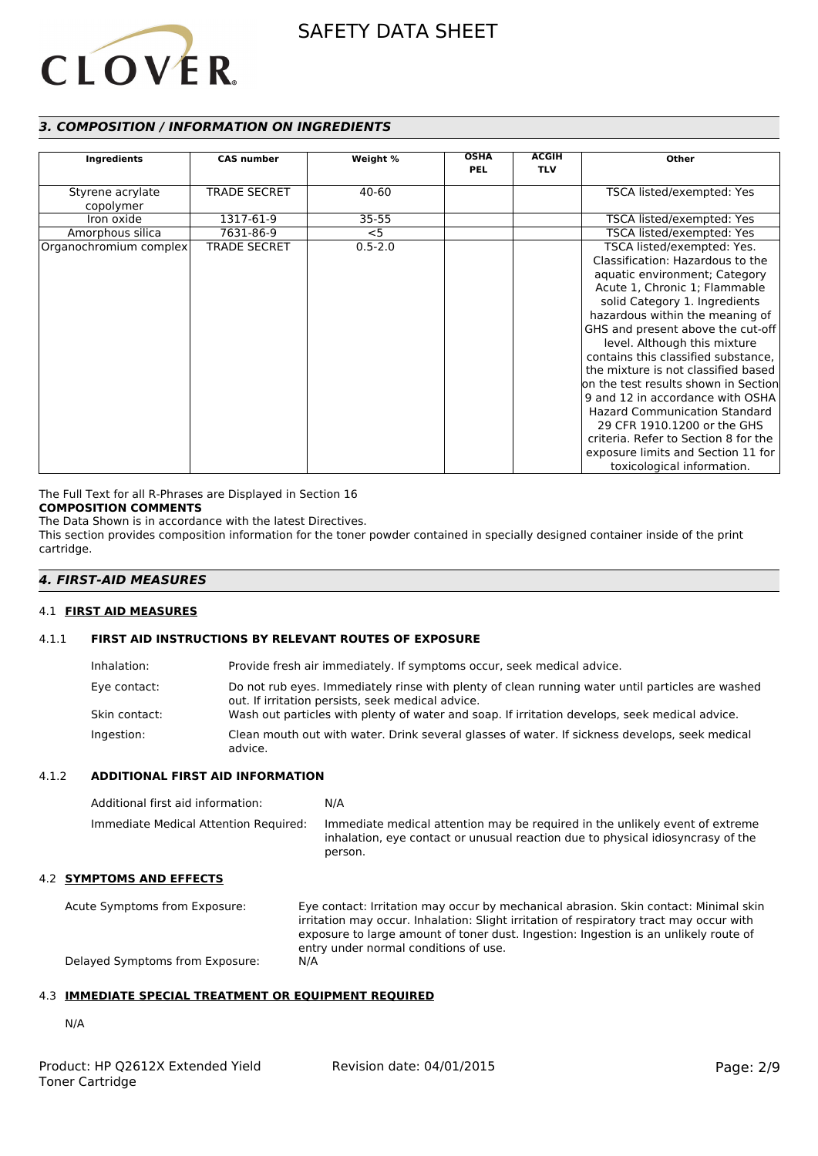

# *3. COMPOSITION / INFORMATION ON INGREDIENTS*

|                        |                     |             | <b>OSHA</b> | <b>ACGIH</b> |                                      |
|------------------------|---------------------|-------------|-------------|--------------|--------------------------------------|
| <b>Ingredients</b>     | <b>CAS number</b>   | Weight %    | <b>PEL</b>  | <b>TLV</b>   | Other                                |
|                        |                     |             |             |              |                                      |
| Styrene acrylate       | <b>TRADE SECRET</b> | 40-60       |             |              | TSCA listed/exempted: Yes            |
| copolymer              |                     |             |             |              |                                      |
| Iron oxide             | 1317-61-9           | $35 - 55$   |             |              | TSCA listed/exempted: Yes            |
| Amorphous silica       | 7631-86-9           | $<$ 5       |             |              | TSCA listed/exempted: Yes            |
| Organochromium complex | <b>TRADE SECRET</b> | $0.5 - 2.0$ |             |              | TSCA listed/exempted: Yes.           |
|                        |                     |             |             |              | Classification: Hazardous to the     |
|                        |                     |             |             |              | aquatic environment; Category        |
|                        |                     |             |             |              | Acute 1, Chronic 1; Flammable        |
|                        |                     |             |             |              | solid Category 1. Ingredients        |
|                        |                     |             |             |              | hazardous within the meaning of      |
|                        |                     |             |             |              | GHS and present above the cut-off    |
|                        |                     |             |             |              | level. Although this mixture         |
|                        |                     |             |             |              | contains this classified substance,  |
|                        |                     |             |             |              | the mixture is not classified based  |
|                        |                     |             |             |              | on the test results shown in Section |
|                        |                     |             |             |              | 9 and 12 in accordance with OSHA     |
|                        |                     |             |             |              | <b>Hazard Communication Standard</b> |
|                        |                     |             |             |              | 29 CFR 1910.1200 or the GHS          |
|                        |                     |             |             |              | criteria. Refer to Section 8 for the |
|                        |                     |             |             |              | exposure limits and Section 11 for   |
|                        |                     |             |             |              | toxicological information.           |

The Full Text for all R-Phrases are Displayed in Section 16

# **COMPOSITION COMMENTS**

The Data Shown is in accordance with the latest Directives.

This section provides composition information for the toner powder contained in specially designed container inside of the print cartridge.

# *4. FIRST-AID MEASURES*

#### 4.1 **FIRST AID MEASURES**

### 4.1.1 **FIRST AID INSTRUCTIONS BY RELEVANT ROUTES OF EXPOSURE**

| Inhalation:   | Provide fresh air immediately. If symptoms occur, seek medical advice.                                                                                |
|---------------|-------------------------------------------------------------------------------------------------------------------------------------------------------|
| Eye contact:  | Do not rub eyes. Immediately rinse with plenty of clean running water until particles are washed<br>out. If irritation persists, seek medical advice. |
| Skin contact: | Wash out particles with plenty of water and soap. If irritation develops, seek medical advice.                                                        |
| Ingestion:    | Clean mouth out with water. Drink several glasses of water. If sickness develops, seek medical<br>advice.                                             |

### 4.1.2 **ADDITIONAL FIRST AID INFORMATION**

| Additional first aid information:     | N/A                                                                                                                                                                        |
|---------------------------------------|----------------------------------------------------------------------------------------------------------------------------------------------------------------------------|
| Immediate Medical Attention Required: | Immediate medical attention may be required in the unlikely event of extreme<br>inhalation, eye contact or unusual reaction due to physical idiosyncrasy of the<br>person. |

# 4.2 **SYMPTOMS AND EFFECTS**

Acute Symptoms from Exposure: Eye contact: Irritation may occur by mechanical abrasion. Skin contact: Minimal skin irritation may occur. Inhalation: Slight irritation of respiratory tract may occur with exposure to large amount of toner dust. Ingestion: Ingestion is an unlikely route of entry under normal conditions of use. Delayed Symptoms from Exposure: N/A

# 4.3 **IMMEDIATE SPECIAL TREATMENT OR EQUIPMENT REQUIRED**

N/A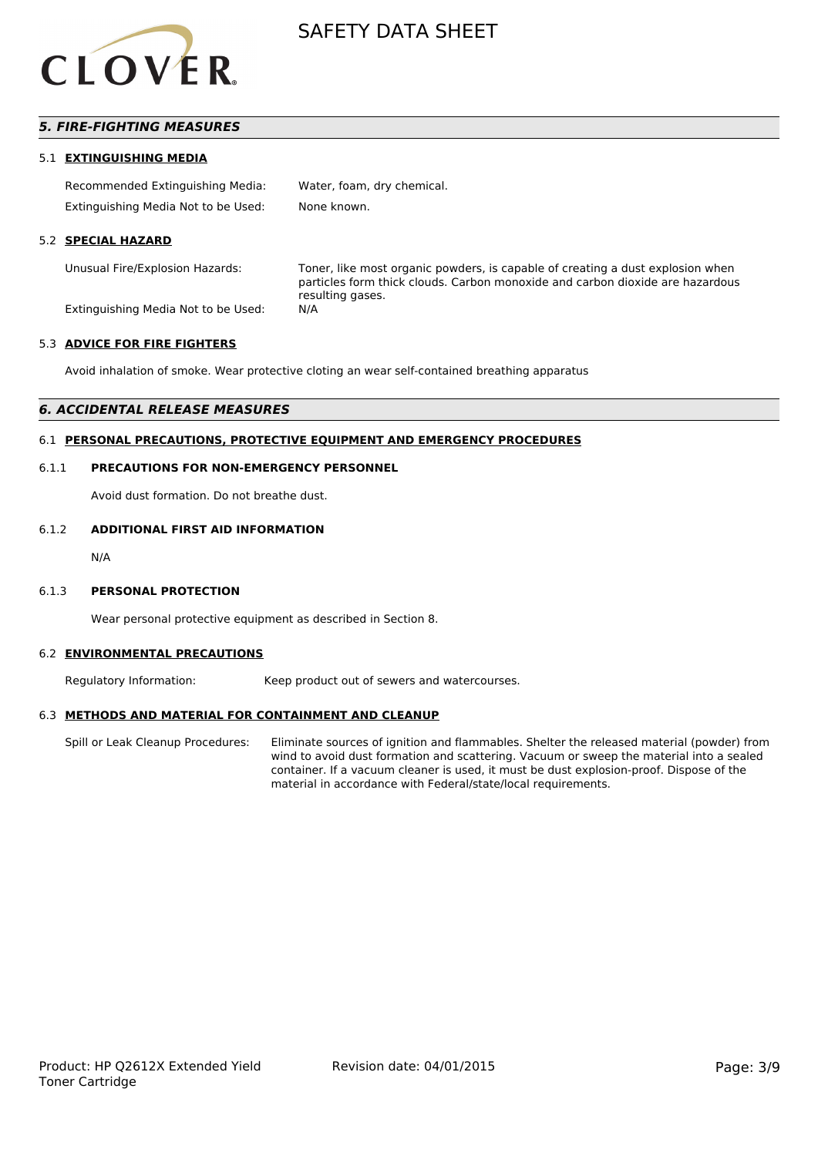

# *5. FIRE-FIGHTING MEASURES*

#### 5.1 **EXTINGUISHING MEDIA**

| Recommended Extinguishing Media:    | Water, foam, dry chemical. |
|-------------------------------------|----------------------------|
| Extinguishing Media Not to be Used: | None known.                |

#### 5.2 **SPECIAL HAZARD**

Unusual Fire/Explosion Hazards: Toner, like most organic powders, is capable of creating a dust explosion when particles form thick clouds. Carbon monoxide and carbon dioxide are hazardous resulting gases.

Extinguishing Media Not to be Used: N/A

#### 5.3 **ADVICE FOR FIRE FIGHTERS**

Avoid inhalation of smoke. Wear protective cloting an wear self-contained breathing apparatus

### *6. ACCIDENTAL RELEASE MEASURES*

#### 6.1 **PERSONAL PRECAUTIONS, PROTECTIVE EQUIPMENT AND EMERGENCY PROCEDURES**

#### 6.1.1 **PRECAUTIONS FOR NON-EMERGENCY PERSONNEL**

Avoid dust formation. Do not breathe dust.

#### 6.1.2 **ADDITIONAL FIRST AID INFORMATION**

N/A

#### 6.1.3 **PERSONAL PROTECTION**

Wear personal protective equipment as described in Section 8.

#### 6.2 **ENVIRONMENTAL PRECAUTIONS**

Regulatory Information: Keep product out of sewers and watercourses.

#### 6.3 **METHODS AND MATERIAL FOR CONTAINMENT AND CLEANUP**

Spill or Leak Cleanup Procedures: Eliminate sources of ignition and flammables. Shelter the released material (powder) from wind to avoid dust formation and scattering. Vacuum or sweep the material into a sealed container. If a vacuum cleaner is used, it must be dust explosion-proof. Dispose of the material in accordance with Federal/state/local requirements.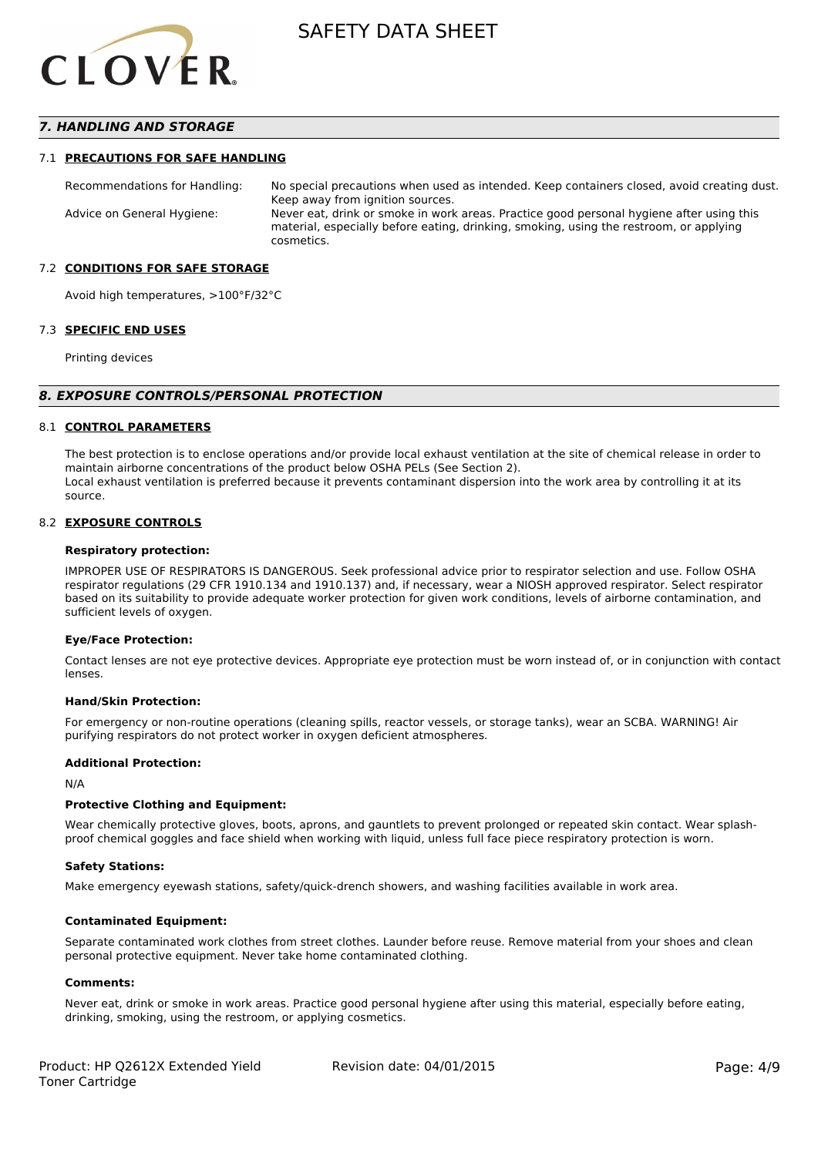

### *7. HANDLING AND STORAGE*

#### 7.1 **PRECAUTIONS FOR SAFE HANDLING**

Recommendations for Handling: No special precautions when used as intended. Keep containers closed, avoid creating dust. Keep away from ignition sources. Advice on General Hygiene: Never eat, drink or smoke in work areas. Practice good personal hygiene after using this material, especially before eating, drinking, smoking, using the restroom, or applying cosmetics.

#### 7.2 **CONDITIONS FOR SAFE STORAGE**

Avoid high temperatures, >100°F/32°C

#### 7.3 **SPECIFIC END USES**

Printing devices

#### *8. EXPOSURE CONTROLS/PERSONAL PROTECTION*

#### 8.1 **CONTROL PARAMETERS**

The best protection is to enclose operations and/or provide local exhaust ventilation at the site of chemical release in order to maintain airborne concentrations of the product below OSHA PELs (See Section 2). Local exhaust ventilation is preferred because it prevents contaminant dispersion into the work area by controlling it at its source.

#### 8.2 **EXPOSURE CONTROLS**

#### **Respiratory protection:**

IMPROPER USE OF RESPIRATORS IS DANGEROUS. Seek professional advice prior to respirator selection and use. Follow OSHA respirator regulations (29 CFR 1910.134 and 1910.137) and, if necessary, wear a NIOSH approved respirator. Select respirator based on its suitability to provide adequate worker protection for given work conditions, levels of airborne contamination, and sufficient levels of oxygen.

#### **Eye/Face Protection:**

Contact lenses are not eye protective devices. Appropriate eye protection must be worn instead of, or in conjunction with contact lenses.

#### **Hand/Skin Protection:**

For emergency or non-routine operations (cleaning spills, reactor vessels, or storage tanks), wear an SCBA. WARNING! Air purifying respirators do not protect worker in oxygen deficient atmospheres.

### **Additional Protection:**

N/A

#### **Protective Clothing and Equipment:**

Wear chemically protective gloves, boots, aprons, and gauntlets to prevent prolonged or repeated skin contact. Wear splashproof chemical goggles and face shield when working with liquid, unless full face piece respiratory protection is worn.

#### **Safety Stations:**

Make emergency eyewash stations, safety/quick-drench showers, and washing facilities available in work area.

#### **Contaminated Equipment:**

Separate contaminated work clothes from street clothes. Launder before reuse. Remove material from your shoes and clean personal protective equipment. Never take home contaminated clothing.

#### **Comments:**

Never eat, drink or smoke in work areas. Practice good personal hygiene after using this material, especially before eating, drinking, smoking, using the restroom, or applying cosmetics.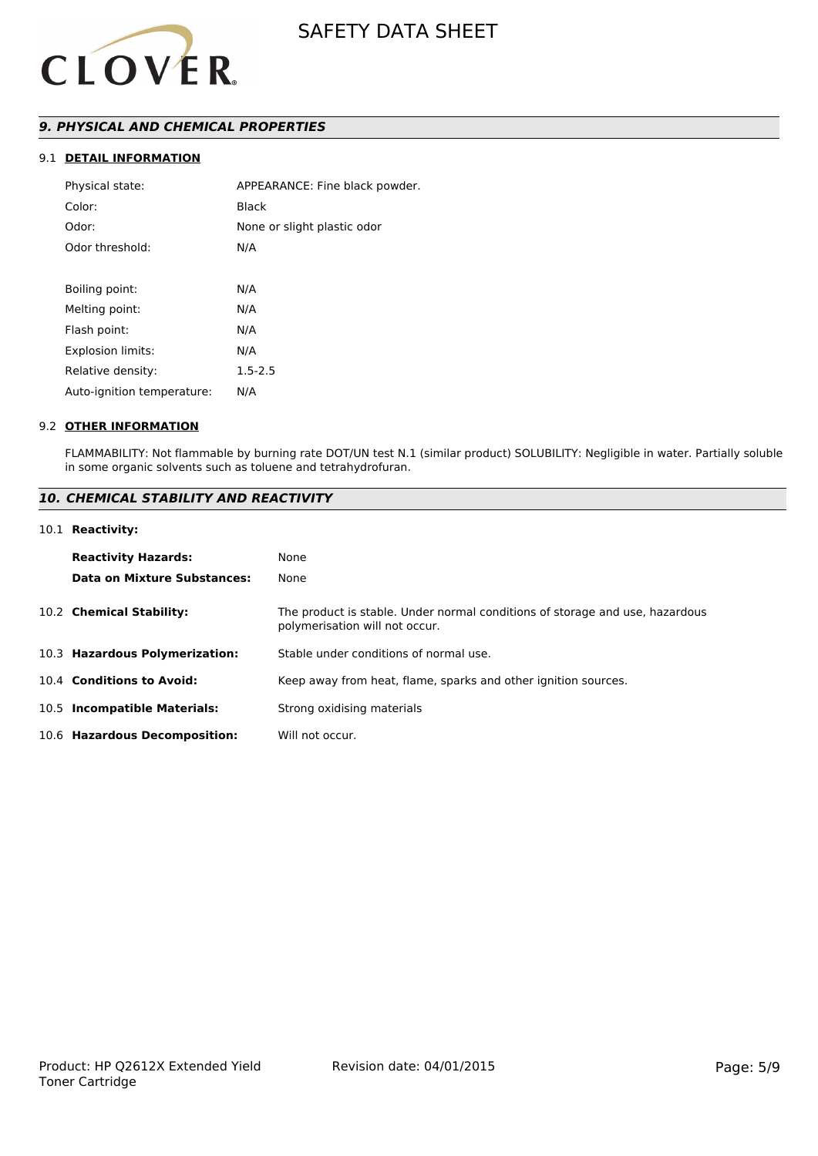

# *9. PHYSICAL AND CHEMICAL PROPERTIES*

# 9.1 **DETAIL INFORMATION**

| Physical state:            | APPEARANCE: Fine black powder. |
|----------------------------|--------------------------------|
| Color:                     | Black                          |
| Odor:                      | None or slight plastic odor    |
| Odor threshold:            | N/A                            |
|                            |                                |
| Boiling point:             | N/A                            |
| Melting point:             | N/A                            |
| Flash point:               | N/A                            |
| <b>Explosion limits:</b>   | N/A                            |
| Relative density:          | $1.5 - 2.5$                    |
| Auto-ignition temperature: | N/A                            |
|                            |                                |

#### 9.2 **OTHER INFORMATION**

FLAMMABILITY: Not flammable by burning rate DOT/UN test N.1 (similar product) SOLUBILITY: Negligible in water. Partially soluble in some organic solvents such as toluene and tetrahydrofuran.

# *10. CHEMICAL STABILITY AND REACTIVITY*

#### 10.1 **Reactivity:**

| <b>Reactivity Hazards:</b><br>Data on Mixture Substances: | None<br>None                                                                                                   |
|-----------------------------------------------------------|----------------------------------------------------------------------------------------------------------------|
| 10.2 Chemical Stability:                                  | The product is stable. Under normal conditions of storage and use, hazardous<br>polymerisation will not occur. |
| 10.3 Hazardous Polymerization:                            | Stable under conditions of normal use.                                                                         |
| 10.4 Conditions to Avoid:                                 | Keep away from heat, flame, sparks and other ignition sources.                                                 |
| 10.5 Incompatible Materials:                              | Strong oxidising materials                                                                                     |
| 10.6 Hazardous Decomposition:                             | Will not occur.                                                                                                |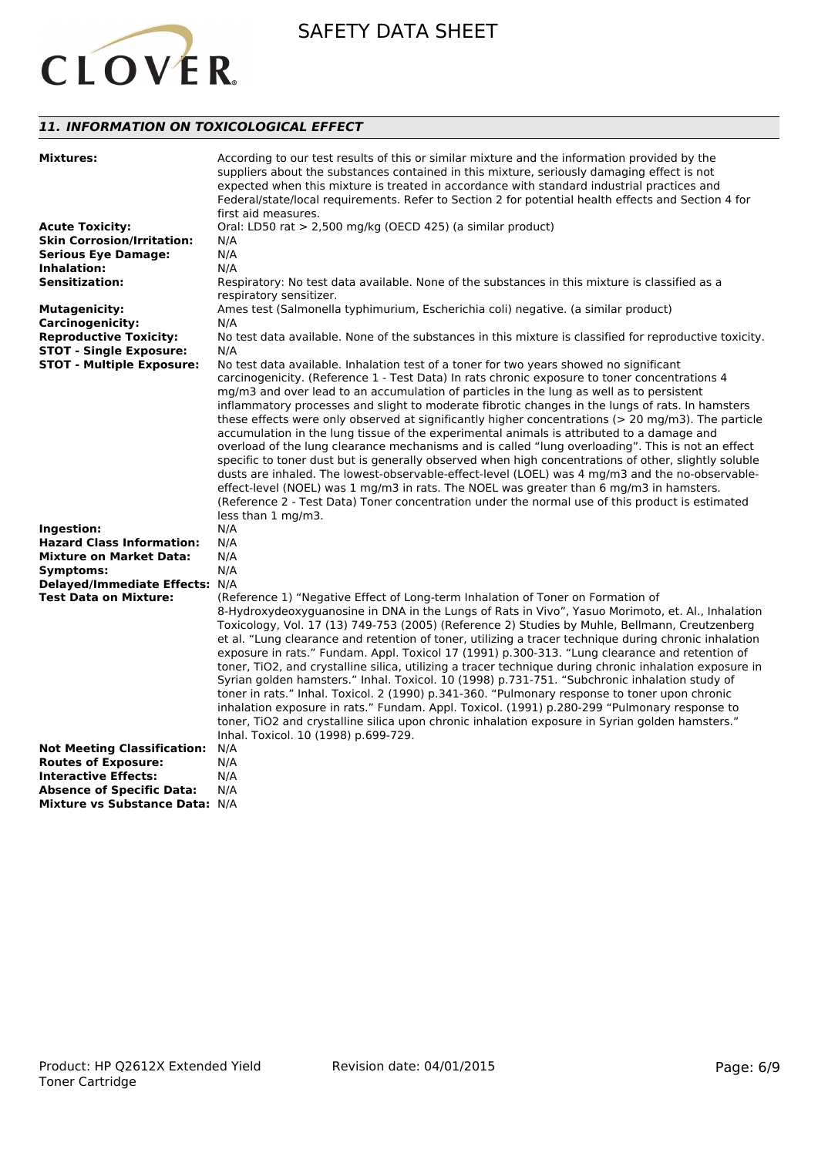

# *11. INFORMATION ON TOXICOLOGICAL EFFECT*

| <b>Mixtures:</b>                   | According to our test results of this or similar mixture and the information provided by the<br>suppliers about the substances contained in this mixture, seriously damaging effect is not<br>expected when this mixture is treated in accordance with standard industrial practices and<br>Federal/state/local requirements. Refer to Section 2 for potential health effects and Section 4 for<br>first aid measures.                                                                                                                                                                                                                                                                                                                                                                                                                                                                                                                                                                                                                                    |
|------------------------------------|-----------------------------------------------------------------------------------------------------------------------------------------------------------------------------------------------------------------------------------------------------------------------------------------------------------------------------------------------------------------------------------------------------------------------------------------------------------------------------------------------------------------------------------------------------------------------------------------------------------------------------------------------------------------------------------------------------------------------------------------------------------------------------------------------------------------------------------------------------------------------------------------------------------------------------------------------------------------------------------------------------------------------------------------------------------|
| <b>Acute Toxicity:</b>             | Oral: LD50 rat > 2,500 mg/kg (OECD 425) (a similar product)                                                                                                                                                                                                                                                                                                                                                                                                                                                                                                                                                                                                                                                                                                                                                                                                                                                                                                                                                                                               |
| <b>Skin Corrosion/Irritation:</b>  | N/A                                                                                                                                                                                                                                                                                                                                                                                                                                                                                                                                                                                                                                                                                                                                                                                                                                                                                                                                                                                                                                                       |
| <b>Serious Eye Damage:</b>         | N/A                                                                                                                                                                                                                                                                                                                                                                                                                                                                                                                                                                                                                                                                                                                                                                                                                                                                                                                                                                                                                                                       |
| Inhalation:                        | N/A                                                                                                                                                                                                                                                                                                                                                                                                                                                                                                                                                                                                                                                                                                                                                                                                                                                                                                                                                                                                                                                       |
| <b>Sensitization:</b>              | Respiratory: No test data available. None of the substances in this mixture is classified as a<br>respiratory sensitizer.                                                                                                                                                                                                                                                                                                                                                                                                                                                                                                                                                                                                                                                                                                                                                                                                                                                                                                                                 |
| <b>Mutagenicity:</b>               | Ames test (Salmonella typhimurium, Escherichia coli) negative. (a similar product)                                                                                                                                                                                                                                                                                                                                                                                                                                                                                                                                                                                                                                                                                                                                                                                                                                                                                                                                                                        |
| <b>Carcinogenicity:</b>            | N/A                                                                                                                                                                                                                                                                                                                                                                                                                                                                                                                                                                                                                                                                                                                                                                                                                                                                                                                                                                                                                                                       |
| <b>Reproductive Toxicity:</b>      | No test data available. None of the substances in this mixture is classified for reproductive toxicity.                                                                                                                                                                                                                                                                                                                                                                                                                                                                                                                                                                                                                                                                                                                                                                                                                                                                                                                                                   |
| <b>STOT - Single Exposure:</b>     | N/A                                                                                                                                                                                                                                                                                                                                                                                                                                                                                                                                                                                                                                                                                                                                                                                                                                                                                                                                                                                                                                                       |
| <b>STOT - Multiple Exposure:</b>   | No test data available. Inhalation test of a toner for two years showed no significant                                                                                                                                                                                                                                                                                                                                                                                                                                                                                                                                                                                                                                                                                                                                                                                                                                                                                                                                                                    |
|                                    | carcinogenicity. (Reference 1 - Test Data) In rats chronic exposure to toner concentrations 4<br>mg/m3 and over lead to an accumulation of particles in the lung as well as to persistent<br>inflammatory processes and slight to moderate fibrotic changes in the lungs of rats. In hamsters<br>these effects were only observed at significantly higher concentrations (> 20 mg/m3). The particle<br>accumulation in the lung tissue of the experimental animals is attributed to a damage and<br>overload of the lung clearance mechanisms and is called "lung overloading". This is not an effect<br>specific to toner dust but is generally observed when high concentrations of other, slightly soluble<br>dusts are inhaled. The lowest-observable-effect-level (LOEL) was 4 mg/m3 and the no-observable-<br>effect-level (NOEL) was 1 mg/m3 in rats. The NOEL was greater than 6 mg/m3 in hamsters.<br>(Reference 2 - Test Data) Toner concentration under the normal use of this product is estimated<br>less than 1 mg/m3.                      |
| Ingestion:                         | N/A                                                                                                                                                                                                                                                                                                                                                                                                                                                                                                                                                                                                                                                                                                                                                                                                                                                                                                                                                                                                                                                       |
| <b>Hazard Class Information:</b>   | N/A                                                                                                                                                                                                                                                                                                                                                                                                                                                                                                                                                                                                                                                                                                                                                                                                                                                                                                                                                                                                                                                       |
| <b>Mixture on Market Data:</b>     | N/A                                                                                                                                                                                                                                                                                                                                                                                                                                                                                                                                                                                                                                                                                                                                                                                                                                                                                                                                                                                                                                                       |
| Symptoms:                          | N/A                                                                                                                                                                                                                                                                                                                                                                                                                                                                                                                                                                                                                                                                                                                                                                                                                                                                                                                                                                                                                                                       |
| Delayed/Immediate Effects: N/A     |                                                                                                                                                                                                                                                                                                                                                                                                                                                                                                                                                                                                                                                                                                                                                                                                                                                                                                                                                                                                                                                           |
| <b>Test Data on Mixture:</b>       | (Reference 1) "Negative Effect of Long-term Inhalation of Toner on Formation of<br>8-Hydroxydeoxyguanosine in DNA in the Lungs of Rats in Vivo", Yasuo Morimoto, et. Al., Inhalation<br>Toxicology, Vol. 17 (13) 749-753 (2005) (Reference 2) Studies by Muhle, Bellmann, Creutzenberg<br>et al. "Lung clearance and retention of toner, utilizing a tracer technique during chronic inhalation<br>exposure in rats." Fundam. Appl. Toxicol 17 (1991) p.300-313. "Lung clearance and retention of<br>toner, TiO2, and crystalline silica, utilizing a tracer technique during chronic inhalation exposure in<br>Syrian golden hamsters." Inhal. Toxicol. 10 (1998) p.731-751. "Subchronic inhalation study of<br>toner in rats." Inhal. Toxicol. 2 (1990) p.341-360. "Pulmonary response to toner upon chronic<br>inhalation exposure in rats." Fundam. Appl. Toxicol. (1991) p.280-299 "Pulmonary response to<br>toner, TiO2 and crystalline silica upon chronic inhalation exposure in Syrian golden hamsters."<br>Inhal. Toxicol. 10 (1998) p.699-729. |
| <b>Not Meeting Classification:</b> | N/A                                                                                                                                                                                                                                                                                                                                                                                                                                                                                                                                                                                                                                                                                                                                                                                                                                                                                                                                                                                                                                                       |
| <b>Routes of Exposure:</b>         | N/A                                                                                                                                                                                                                                                                                                                                                                                                                                                                                                                                                                                                                                                                                                                                                                                                                                                                                                                                                                                                                                                       |
| <b>Interactive Effects:</b>        | N/A                                                                                                                                                                                                                                                                                                                                                                                                                                                                                                                                                                                                                                                                                                                                                                                                                                                                                                                                                                                                                                                       |
| <b>Absence of Specific Data:</b>   | N/A                                                                                                                                                                                                                                                                                                                                                                                                                                                                                                                                                                                                                                                                                                                                                                                                                                                                                                                                                                                                                                                       |
| Mixture vs Substance Data: N/A     |                                                                                                                                                                                                                                                                                                                                                                                                                                                                                                                                                                                                                                                                                                                                                                                                                                                                                                                                                                                                                                                           |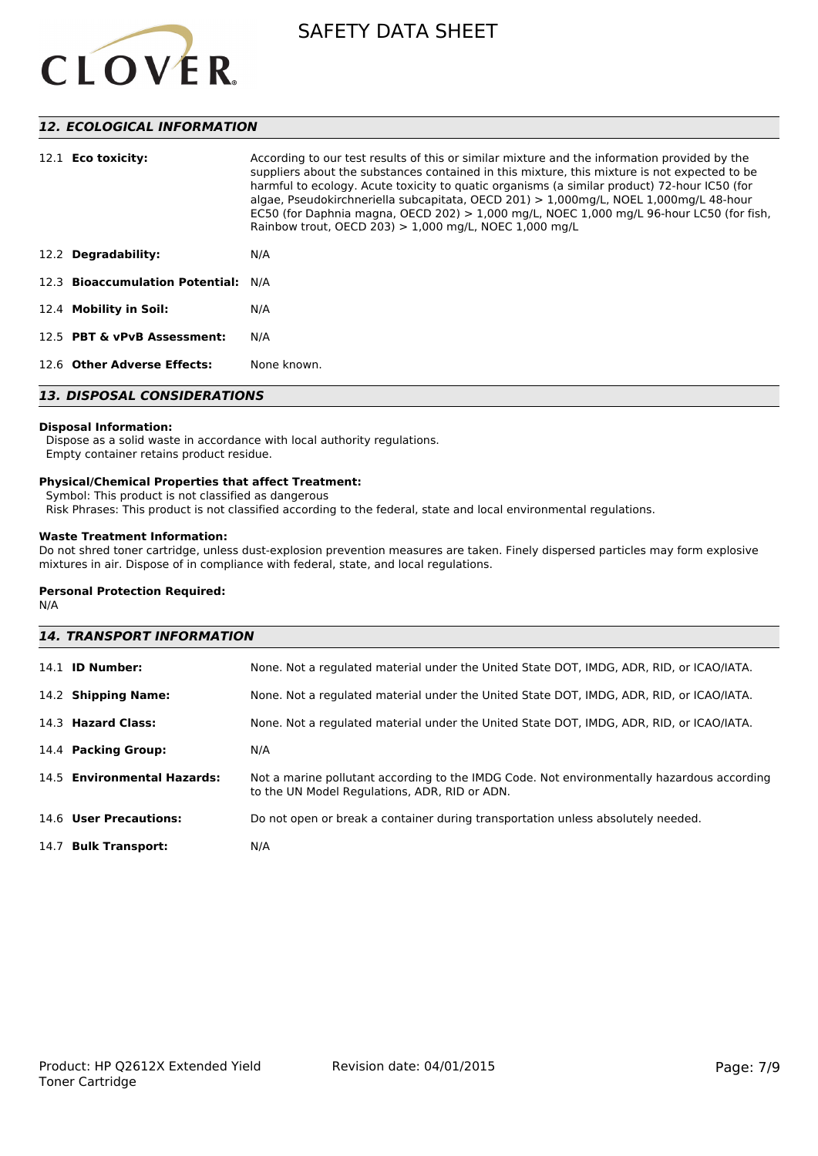

# *12. ECOLOGICAL INFORMATION*

| 12.2 Degradability:                | harmful to ecology. Acute toxicity to quatic organisms (a similar product) 72-hour IC50 (for<br>algae, Pseudokirchneriella subcapitata, OECD 201) > 1,000mg/L, NOEL 1,000mg/L 48-hour<br>EC50 (for Daphnia magna, OECD 202) $> 1,000$ mg/L, NOEC 1,000 mg/L 96-hour LC50 (for fish,<br>Rainbow trout, OECD 203) $> 1,000$ mg/L, NOEC 1,000 mg/L<br>N/A |  |
|------------------------------------|--------------------------------------------------------------------------------------------------------------------------------------------------------------------------------------------------------------------------------------------------------------------------------------------------------------------------------------------------------|--|
| 12.3 Bioaccumulation Potential:    | N/A                                                                                                                                                                                                                                                                                                                                                    |  |
| 12.4 Mobility in Soil:             | N/A                                                                                                                                                                                                                                                                                                                                                    |  |
| 12.5 PBT & vPvB Assessment:        | N/A                                                                                                                                                                                                                                                                                                                                                    |  |
| 12.6 Other Adverse Effects:        | None known.                                                                                                                                                                                                                                                                                                                                            |  |
| <b>13. DISPOSAL CONSIDERATIONS</b> |                                                                                                                                                                                                                                                                                                                                                        |  |

# **Disposal Information:**

 Dispose as a solid waste in accordance with local authority regulations. Empty container retains product residue.

### **Physical/Chemical Properties that affect Treatment:**

Symbol: This product is not classified as dangerous

Risk Phrases: This product is not classified according to the federal, state and local environmental regulations.

### **Waste Treatment Information:**

Do not shred toner cartridge, unless dust-explosion prevention measures are taken. Finely dispersed particles may form explosive mixtures in air. Dispose of in compliance with federal, state, and local regulations.

### **Personal Protection Required:**

N/A

| <b>14. TRANSPORT INFORMATION</b> |                                                                                                                                             |  |
|----------------------------------|---------------------------------------------------------------------------------------------------------------------------------------------|--|
| $14.1$ ID Number:                | None. Not a regulated material under the United State DOT, IMDG, ADR, RID, or ICAO/IATA.                                                    |  |
| 14.2 Shipping Name:              | None. Not a regulated material under the United State DOT, IMDG, ADR, RID, or ICAO/IATA.                                                    |  |
| 14.3 Hazard Class:               | None. Not a regulated material under the United State DOT, IMDG, ADR, RID, or ICAO/IATA.                                                    |  |
| 14.4 Packing Group:              | N/A                                                                                                                                         |  |
| 14.5 Environmental Hazards:      | Not a marine pollutant according to the IMDG Code. Not environmentally hazardous according<br>to the UN Model Regulations, ADR, RID or ADN. |  |
| 14.6 User Precautions:           | Do not open or break a container during transportation unless absolutely needed.                                                            |  |
| 14.7 Bulk Transport:             | N/A                                                                                                                                         |  |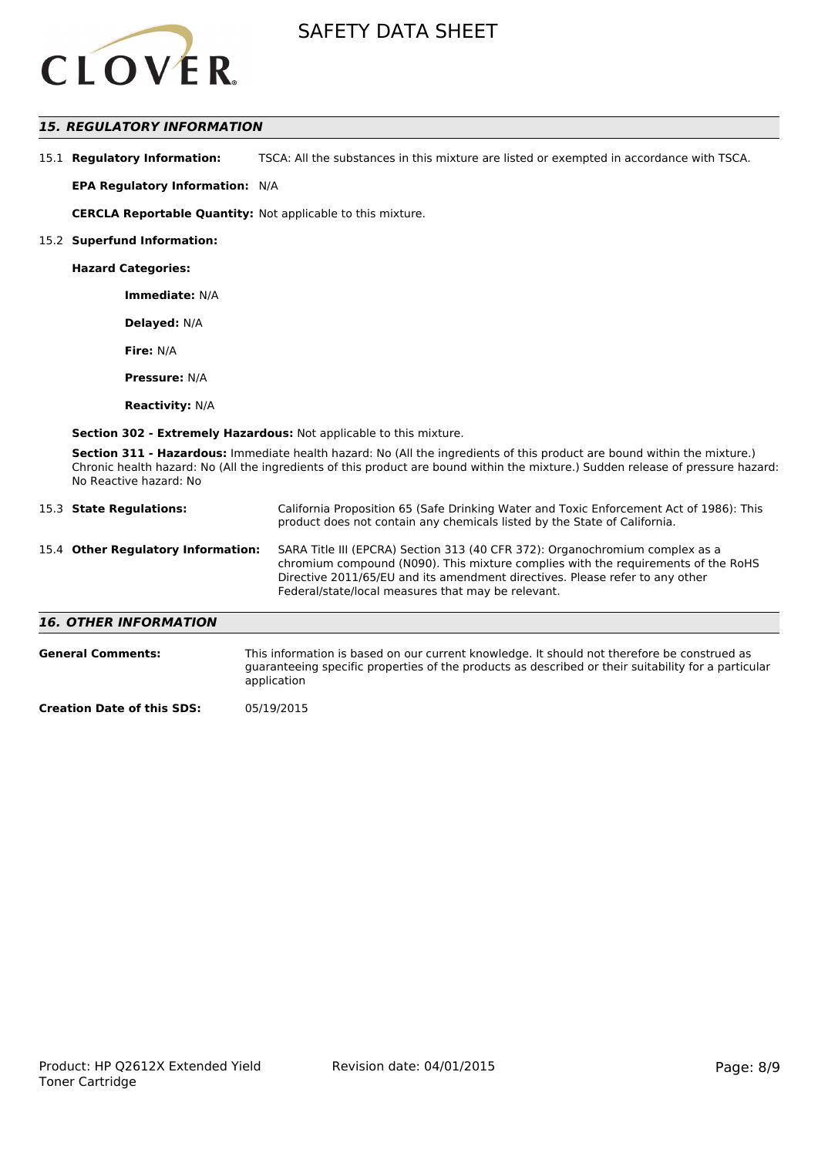

# *15. REGULATORY INFORMATION*

15.1 **Regulatory Information:** TSCA: All the substances in this mixture are listed or exempted in accordance with TSCA.

**EPA Regulatory Information:** N/A

**CERCLA Reportable Quantity:** Not applicable to this mixture.

#### 15.2 **Superfund Information:**

**Hazard Categories:**

**Immediate:** N/A

**Delayed:** N/A

**Fire:** N/A

**Pressure:** N/A

**Reactivity:** N/A

**Section 302 - Extremely Hazardous:** Not applicable to this mixture.

**Section 311 - Hazardous:** Immediate health hazard: No (All the ingredients of this product are bound within the mixture.) Chronic health hazard: No (All the ingredients of this product are bound within the mixture.) Sudden release of pressure hazard: No Reactive hazard: No

| 15.3 State Regulations:            | California Proposition 65 (Safe Drinking Water and Toxic Enforcement Act of 1986): This<br>product does not contain any chemicals listed by the State of California.                                                                                                                                    |
|------------------------------------|---------------------------------------------------------------------------------------------------------------------------------------------------------------------------------------------------------------------------------------------------------------------------------------------------------|
| 15.4 Other Regulatory Information: | SARA Title III (EPCRA) Section 313 (40 CFR 372): Organochromium complex as a<br>chromium compound (N090). This mixture complies with the requirements of the RoHS<br>Directive 2011/65/EU and its amendment directives. Please refer to any other<br>Federal/state/local measures that may be relevant. |
| <b>16. OTHER INFORMATION</b>       |                                                                                                                                                                                                                                                                                                         |

| <b>General Comments:</b> | This information is based on our current knowledge. It should not therefore be construed as<br>guaranteeing specific properties of the products as described or their suitability for a particular<br>application |
|--------------------------|-------------------------------------------------------------------------------------------------------------------------------------------------------------------------------------------------------------------|
|                          | 0.513000000                                                                                                                                                                                                       |

**Creation Date of this SDS:** 05/19/2015